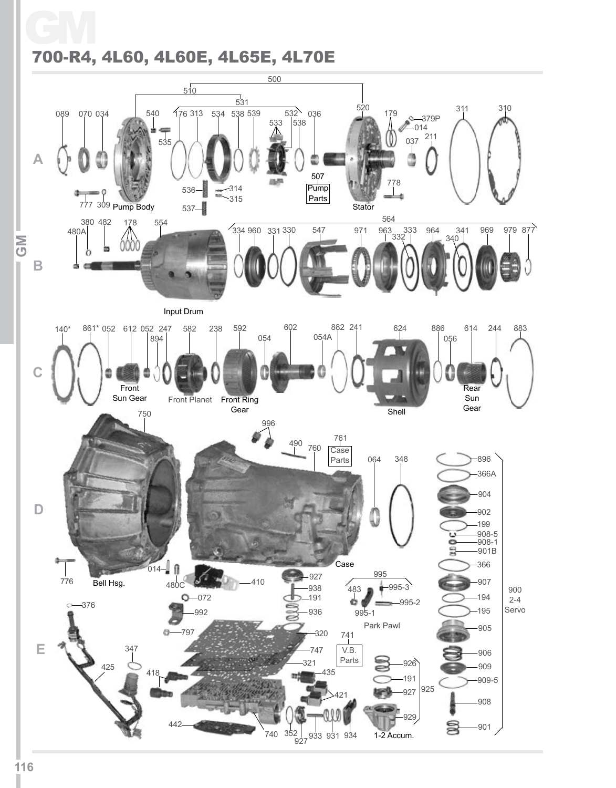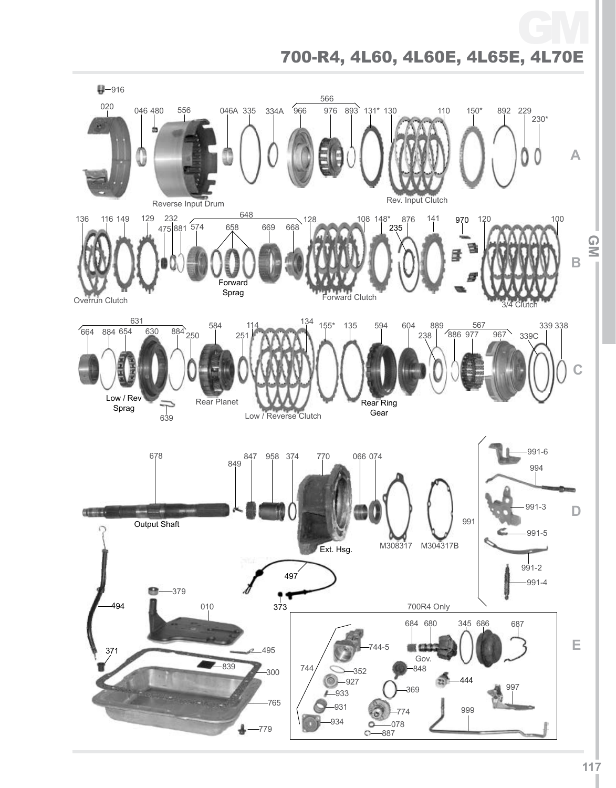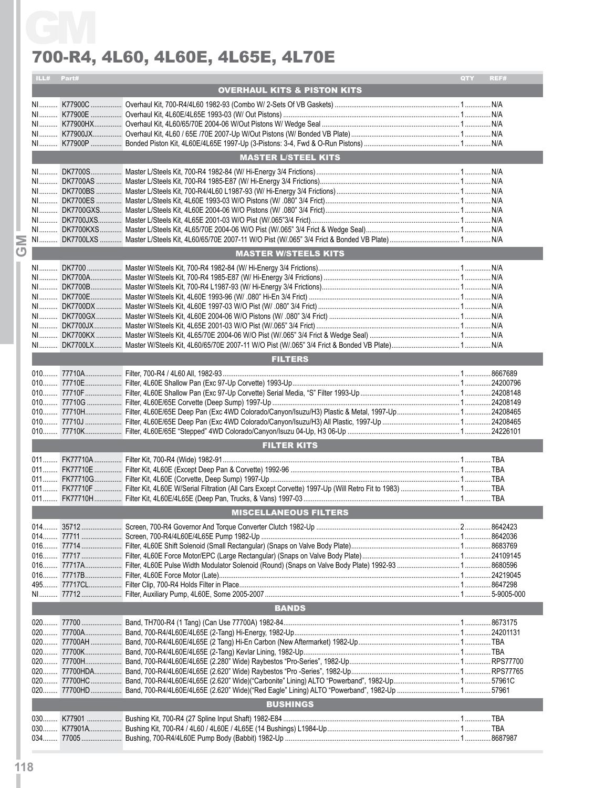|     | ILL# Part# |                                             | QTY  | REF#       |
|-----|------------|---------------------------------------------|------|------------|
|     |            | <b>OVERHAUL KITS &amp; PISTON KITS</b>      |      |            |
|     |            |                                             |      |            |
|     |            |                                             |      |            |
|     |            |                                             |      |            |
|     |            |                                             |      |            |
|     |            |                                             |      |            |
|     |            | <b>MASTER L/STEEL KITS</b>                  |      |            |
|     |            |                                             |      |            |
|     |            |                                             |      |            |
|     |            |                                             |      |            |
|     |            |                                             |      |            |
|     |            |                                             |      |            |
|     |            |                                             |      |            |
|     |            |                                             |      |            |
|     |            |                                             |      |            |
|     |            | <b>MASTER W/STEELS KITS</b>                 |      |            |
|     |            |                                             |      |            |
|     |            |                                             |      |            |
|     |            |                                             |      |            |
|     |            |                                             |      |            |
|     |            |                                             |      |            |
|     |            |                                             |      |            |
|     |            |                                             |      |            |
|     |            |                                             |      |            |
|     |            | <b>FILTERS</b>                              |      |            |
|     |            |                                             |      |            |
|     |            |                                             |      |            |
|     |            |                                             |      |            |
|     |            |                                             |      |            |
|     |            |                                             |      |            |
|     |            |                                             |      |            |
|     |            |                                             |      |            |
|     |            | <b>FILTER KITS</b>                          |      |            |
| 011 |            | FK77710A  Filter Kit, 700-R4 (Wide) 1982-91 | . 1. | <b>TBA</b> |
|     |            |                                             |      |            |
|     |            |                                             |      |            |
|     |            |                                             |      |            |
|     |            | <b>MISCELLANEOUS FILTERS</b>                |      |            |
|     |            |                                             |      |            |
|     |            |                                             |      |            |
|     |            |                                             |      |            |
|     |            |                                             |      |            |
|     |            |                                             |      |            |
|     |            |                                             |      |            |
|     |            |                                             |      |            |
|     |            |                                             |      |            |
|     |            | <b>BANDS</b>                                |      |            |
|     |            |                                             |      |            |
|     |            |                                             |      |            |
|     |            |                                             |      |            |
|     |            |                                             |      |            |
|     |            |                                             |      |            |
|     |            |                                             |      |            |
|     |            |                                             |      |            |
|     |            | <b>BUSHINGS</b>                             |      |            |
|     |            |                                             |      |            |
|     |            |                                             |      |            |
|     |            |                                             |      |            |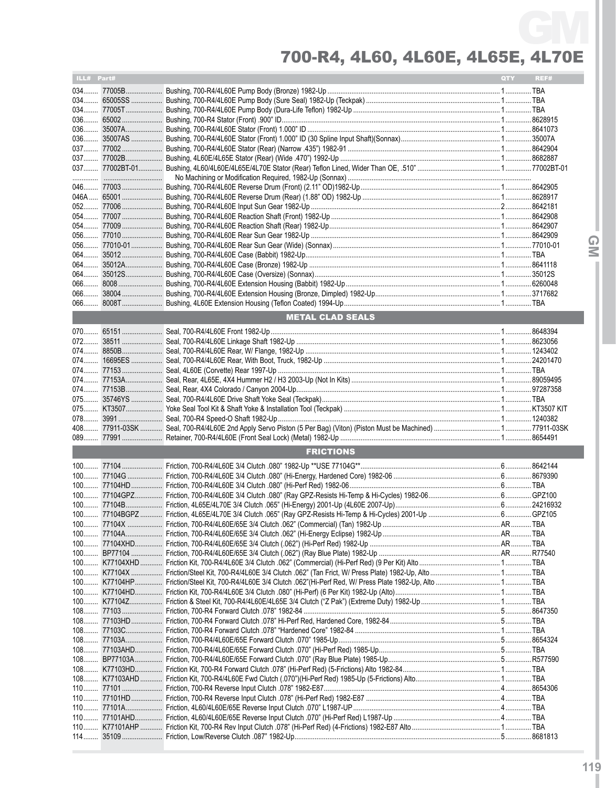| ILL# Part# |                         | <b>QTY</b> | REF# |
|------------|-------------------------|------------|------|
|            |                         |            |      |
|            |                         |            |      |
|            |                         |            |      |
|            |                         |            |      |
|            |                         |            |      |
|            |                         |            |      |
|            |                         |            |      |
|            |                         |            |      |
|            |                         |            |      |
|            |                         |            |      |
|            |                         |            |      |
|            |                         |            |      |
|            |                         |            |      |
|            |                         |            |      |
|            |                         |            |      |
|            |                         |            |      |
|            |                         |            |      |
|            |                         |            |      |
|            |                         |            |      |
|            |                         |            |      |
|            |                         |            |      |
|            |                         |            |      |
|            | <b>METAL CLAD SEALS</b> |            |      |
|            |                         |            |      |
|            |                         |            |      |
|            |                         |            |      |
|            |                         |            |      |
|            |                         |            |      |
|            |                         |            |      |
|            |                         |            |      |
|            |                         |            |      |
|            |                         |            |      |
|            |                         |            |      |
|            |                         |            |      |
|            |                         |            |      |
|            | <b>FRICTIONS</b>        |            |      |
|            |                         |            |      |
|            |                         |            |      |
|            |                         |            |      |
|            |                         |            |      |
|            |                         |            |      |
|            |                         |            |      |
|            |                         |            |      |
|            |                         |            |      |
|            |                         |            |      |
|            |                         |            |      |
|            |                         |            |      |
|            |                         |            |      |
|            |                         |            |      |
|            |                         |            |      |
|            |                         |            |      |
|            |                         |            |      |
|            |                         |            |      |
|            |                         |            |      |
|            |                         |            |      |
|            |                         |            |      |
|            |                         |            |      |
|            |                         |            |      |
|            |                         |            |      |
|            |                         |            |      |
|            |                         |            |      |
|            |                         |            |      |
|            |                         |            |      |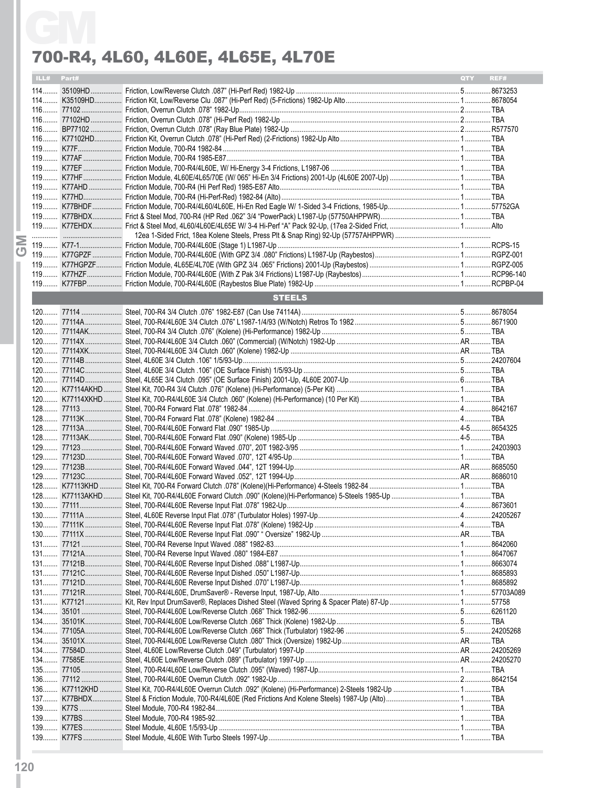| ILL# Part# |               | QTY | REF# |
|------------|---------------|-----|------|
|            |               |     |      |
|            |               |     |      |
|            |               |     |      |
|            |               |     |      |
|            |               |     |      |
|            |               |     |      |
|            |               |     |      |
|            |               |     |      |
|            |               |     |      |
|            |               |     |      |
|            |               |     |      |
|            |               |     |      |
|            |               |     |      |
|            |               |     |      |
|            |               |     |      |
|            |               |     |      |
|            |               |     |      |
|            |               |     |      |
|            |               |     |      |
|            | <b>STEELS</b> |     |      |
|            |               |     |      |
|            |               |     |      |
|            |               |     |      |
|            |               |     |      |
|            |               |     |      |
|            |               |     |      |
|            |               |     |      |
|            |               |     |      |
|            |               |     |      |
|            |               |     |      |
|            |               |     |      |
|            |               |     |      |
|            |               |     |      |
|            |               |     |      |
|            |               |     |      |
|            |               |     |      |
|            |               |     |      |
|            |               |     |      |
|            |               |     |      |
|            |               |     |      |
|            |               |     |      |
|            |               |     |      |
|            |               |     |      |
|            |               |     |      |
|            |               |     |      |
|            |               |     |      |
|            |               |     |      |
|            |               |     |      |
|            |               |     |      |
|            |               |     |      |
|            |               |     |      |
|            |               |     |      |
|            |               |     |      |
|            |               |     |      |
|            |               |     |      |
|            |               |     |      |
|            |               |     |      |
|            |               |     |      |
|            |               |     |      |
|            |               |     |      |
|            |               |     |      |
|            |               |     |      |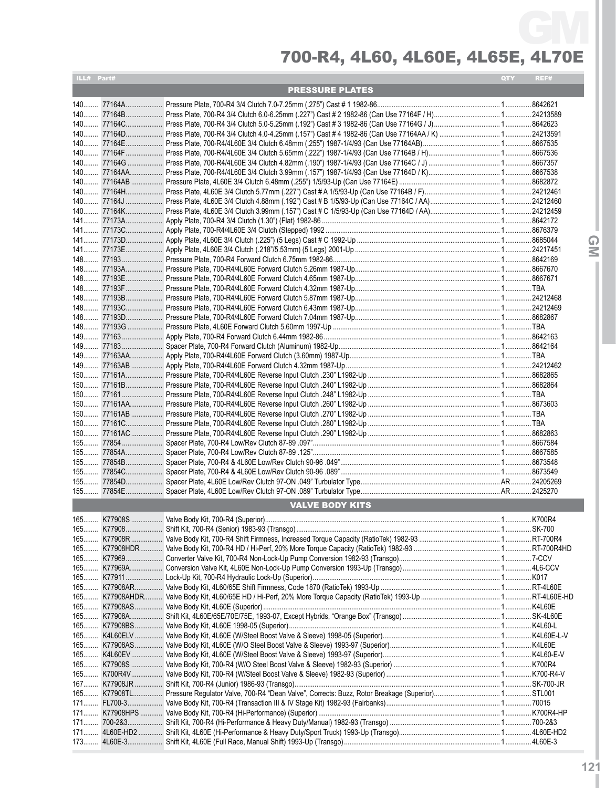| ILL# Part# |                        | QTY | REF# |
|------------|------------------------|-----|------|
|            | <b>PRESSURE PLATES</b> |     |      |
|            |                        |     |      |
|            |                        |     |      |
|            |                        |     |      |
|            |                        |     |      |
|            |                        |     |      |
|            |                        |     |      |
|            |                        |     |      |
|            |                        |     |      |
|            |                        |     |      |
|            |                        |     |      |
|            |                        |     |      |
|            |                        |     |      |
|            |                        |     |      |
|            |                        |     |      |
|            |                        |     |      |
|            |                        |     |      |
|            |                        |     |      |
|            |                        |     |      |
|            |                        |     |      |
|            |                        |     |      |
|            |                        |     |      |
|            |                        |     |      |
|            |                        |     |      |
|            |                        |     |      |
|            |                        |     |      |
|            |                        |     |      |
|            |                        |     |      |
|            |                        |     |      |
|            |                        |     |      |
|            |                        |     |      |
|            |                        |     |      |
|            |                        |     |      |
|            |                        |     |      |
|            |                        |     |      |
|            |                        |     |      |
|            |                        |     |      |
|            |                        |     |      |
|            |                        |     |      |
|            |                        |     |      |
|            |                        |     |      |
|            |                        |     |      |
|            |                        |     |      |
|            | <b>VALVE BODY KITS</b> |     |      |
|            |                        |     |      |
|            |                        |     |      |
|            |                        |     |      |
|            |                        |     |      |
|            |                        |     |      |
|            |                        |     |      |
|            |                        |     |      |
|            |                        |     |      |
|            |                        |     |      |
|            |                        |     |      |
|            |                        |     |      |
|            |                        |     |      |
|            |                        |     |      |
|            |                        |     |      |
|            |                        |     |      |
|            |                        |     |      |
|            |                        |     |      |
|            |                        |     |      |
|            |                        |     |      |
|            |                        |     |      |
|            |                        |     |      |
|            |                        |     |      |
|            |                        |     |      |
|            |                        |     |      |
|            |                        |     |      |

**121**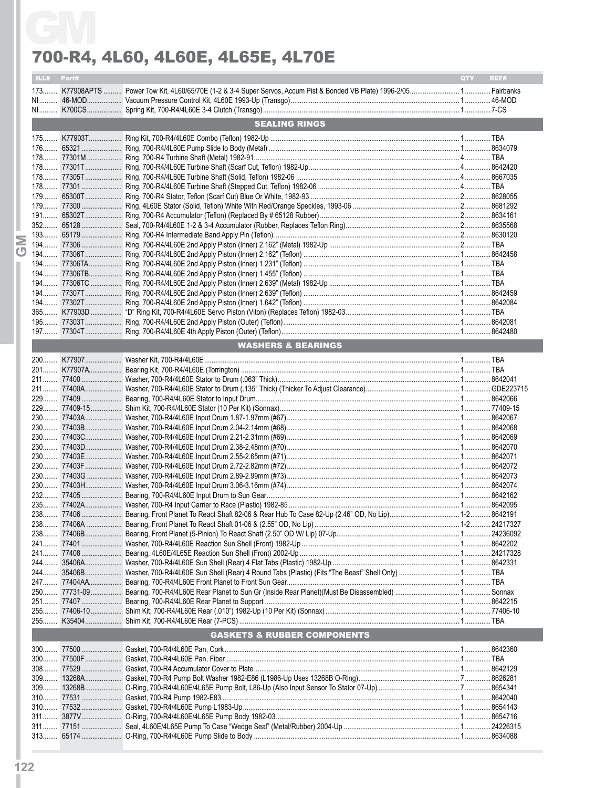|            | 700-R4, 4L60, 4L60E, 4L65E, 4L70E      |            |      |
|------------|----------------------------------------|------------|------|
| ILL# Part# |                                        | <b>QTY</b> | REF# |
|            |                                        |            |      |
|            |                                        |            |      |
|            | <b>SEALING RINGS</b>                   |            |      |
|            |                                        |            |      |
|            |                                        |            |      |
|            |                                        |            |      |
|            |                                        |            |      |
|            |                                        |            |      |
|            |                                        |            |      |
|            |                                        |            |      |
|            |                                        |            |      |
|            |                                        |            |      |
|            |                                        |            |      |
|            |                                        |            |      |
|            |                                        |            |      |
|            |                                        |            |      |
|            |                                        |            |      |
|            |                                        |            |      |
|            |                                        |            |      |
|            |                                        |            |      |
|            |                                        |            |      |
|            |                                        |            |      |
|            | <b>WASHERS &amp; BEARINGS</b>          |            |      |
|            |                                        |            |      |
|            |                                        |            |      |
|            |                                        |            |      |
|            |                                        |            |      |
|            |                                        |            |      |
|            |                                        |            |      |
|            |                                        |            |      |
|            |                                        |            |      |
|            |                                        |            |      |
|            |                                        |            |      |
|            |                                        |            |      |
|            |                                        |            |      |
|            |                                        |            |      |
|            |                                        |            |      |
|            |                                        |            |      |
|            |                                        |            |      |
|            |                                        |            |      |
|            |                                        |            |      |
|            |                                        |            |      |
|            |                                        |            |      |
|            |                                        |            |      |
|            |                                        |            |      |
|            |                                        |            |      |
|            |                                        |            |      |
|            |                                        |            |      |
|            |                                        |            |      |
|            |                                        |            |      |
|            | <b>GASKETS &amp; RUBBER COMPONENTS</b> |            |      |
|            |                                        |            |      |
|            |                                        |            |      |
|            |                                        |            |      |
|            |                                        |            |      |
|            |                                        |            |      |
|            |                                        |            |      |
|            |                                        |            |      |
|            |                                        |            |      |
|            |                                        |            |      |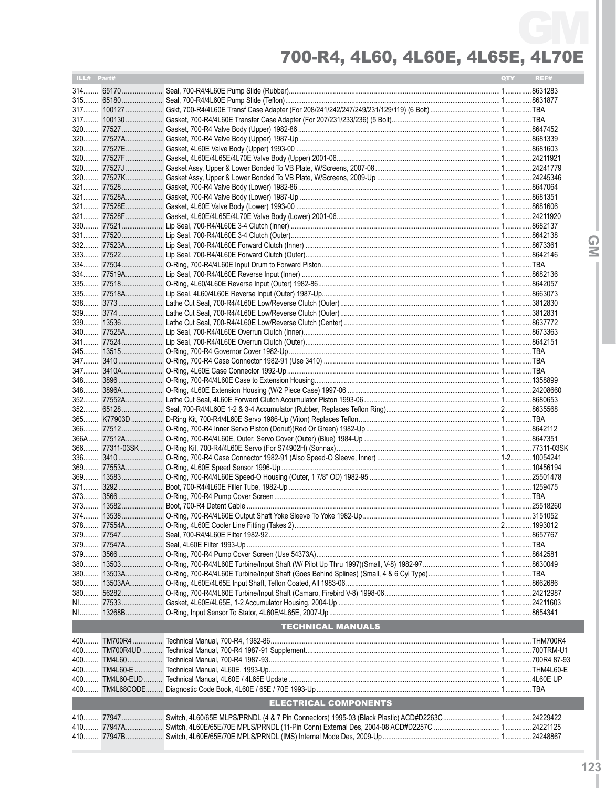| ILL# Part# |                              | <b>QTY</b> | REF# |
|------------|------------------------------|------------|------|
|            |                              |            |      |
|            |                              |            |      |
|            |                              |            |      |
|            |                              |            |      |
|            |                              |            |      |
|            |                              |            |      |
|            |                              |            |      |
|            |                              |            |      |
|            |                              |            |      |
|            |                              |            |      |
|            |                              |            |      |
|            |                              |            |      |
|            |                              |            |      |
|            |                              |            |      |
|            |                              |            |      |
|            |                              |            |      |
|            |                              |            |      |
|            |                              |            |      |
|            |                              |            |      |
|            |                              |            |      |
|            |                              |            |      |
|            |                              |            |      |
|            |                              |            |      |
|            |                              |            |      |
|            |                              |            |      |
|            |                              |            |      |
|            |                              |            |      |
|            |                              |            |      |
|            |                              |            |      |
|            |                              |            |      |
|            |                              |            |      |
|            |                              |            |      |
|            |                              |            |      |
|            |                              |            |      |
|            |                              |            |      |
|            |                              |            |      |
|            |                              |            |      |
|            |                              |            |      |
|            |                              |            |      |
|            |                              |            |      |
|            |                              |            |      |
|            |                              |            |      |
|            |                              |            |      |
|            |                              |            |      |
| 380        |                              |            |      |
| 380        |                              |            |      |
|            |                              |            |      |
|            |                              |            |      |
|            |                              |            |      |
|            |                              |            |      |
|            | <b>TECHNICAL MANUALS</b>     |            |      |
|            |                              |            |      |
|            |                              |            |      |
|            |                              |            |      |
| 400        |                              |            |      |
|            |                              |            |      |
|            | <b>ELECTRICAL COMPONENTS</b> |            |      |
|            |                              |            |      |
|            |                              |            |      |
|            |                              |            |      |
|            |                              |            |      |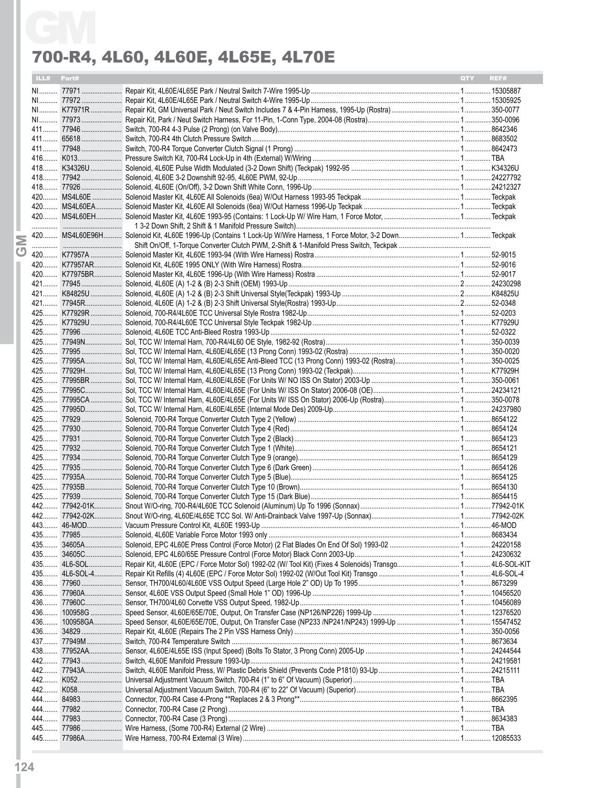| ILL# Part# | <b>OTY</b> | REF# |
|------------|------------|------|
|            |            |      |
|            |            |      |
|            |            |      |
|            |            |      |
|            |            |      |
|            |            |      |
|            |            |      |
|            |            |      |
|            |            |      |
|            |            |      |
|            |            |      |
|            |            |      |
|            |            |      |
|            |            |      |
|            |            |      |
|            |            |      |
|            |            |      |
|            |            |      |
|            |            |      |
|            |            |      |
|            |            |      |
|            |            |      |
|            |            |      |
|            |            |      |
|            |            |      |
|            |            |      |
|            |            |      |
|            |            |      |
|            |            |      |
|            |            |      |
|            |            |      |
|            |            |      |
|            |            |      |
|            |            |      |
|            |            |      |
|            |            |      |
|            |            |      |
|            |            |      |
|            |            |      |
|            |            |      |
|            |            |      |
|            |            |      |
|            |            |      |
|            |            |      |
|            |            |      |
|            |            |      |
|            |            |      |
|            |            |      |
|            |            |      |
|            |            |      |
|            |            |      |
|            |            |      |
|            |            |      |
|            |            |      |
|            |            |      |
|            |            |      |
|            |            |      |
|            |            |      |
|            |            |      |
|            |            |      |
|            |            |      |
|            |            |      |
|            |            |      |
|            |            |      |
|            |            |      |
|            |            |      |
|            |            |      |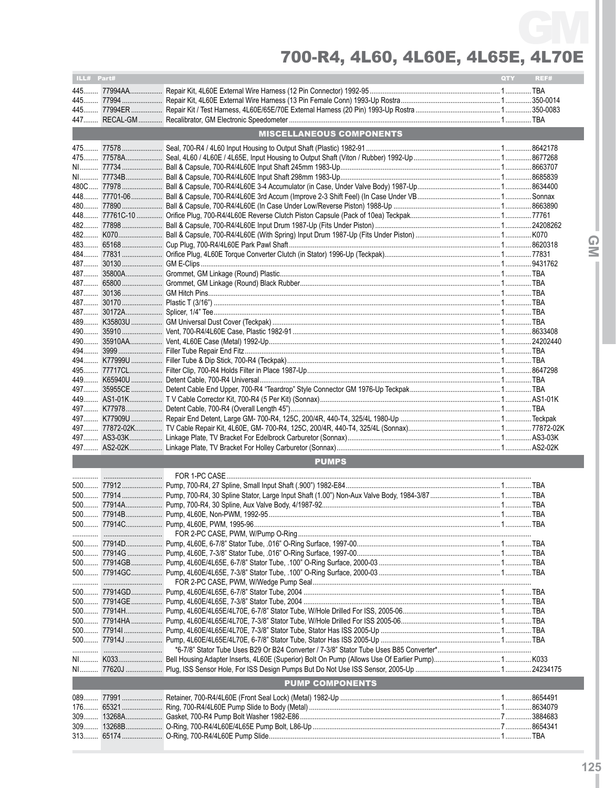| ILL# Part# |                                 | QTY | REF# |
|------------|---------------------------------|-----|------|
|            |                                 |     |      |
|            |                                 |     |      |
|            |                                 |     |      |
|            |                                 |     |      |
|            | <b>MISCELLANEOUS COMPONENTS</b> |     |      |
|            |                                 |     |      |
|            |                                 |     |      |
|            |                                 |     |      |
|            |                                 |     |      |
|            |                                 |     |      |
|            |                                 |     |      |
|            |                                 |     |      |
|            |                                 |     |      |
|            |                                 |     |      |
|            |                                 |     |      |
|            |                                 |     |      |
|            |                                 |     |      |
|            |                                 |     |      |
|            |                                 |     |      |
|            |                                 |     |      |
|            |                                 |     |      |
|            |                                 |     |      |
|            |                                 |     |      |
|            |                                 |     |      |
|            |                                 |     |      |
|            |                                 |     |      |
|            |                                 |     |      |
|            |                                 |     |      |
|            |                                 |     |      |
|            |                                 |     |      |
|            |                                 |     |      |
|            |                                 |     |      |
|            |                                 |     |      |
|            |                                 |     |      |
|            |                                 |     |      |
|            |                                 |     |      |
|            | <b>PUMPS</b>                    |     |      |
|            |                                 |     |      |
|            |                                 |     |      |
|            |                                 |     |      |
|            |                                 |     |      |
|            |                                 |     |      |
|            |                                 |     |      |
|            |                                 |     |      |
|            |                                 |     |      |
|            |                                 |     |      |
|            |                                 |     |      |
|            |                                 |     |      |
|            |                                 |     |      |
|            |                                 |     |      |
|            |                                 |     |      |
|            |                                 |     |      |
|            |                                 |     |      |
|            |                                 |     |      |
|            |                                 |     |      |
|            |                                 |     |      |
|            |                                 |     |      |
|            | <b>PUMP COMPONENTS</b>          |     |      |
| 089        |                                 |     |      |
| $176$      |                                 |     |      |
|            |                                 |     |      |
| $309$      |                                 |     |      |
|            |                                 |     |      |

QM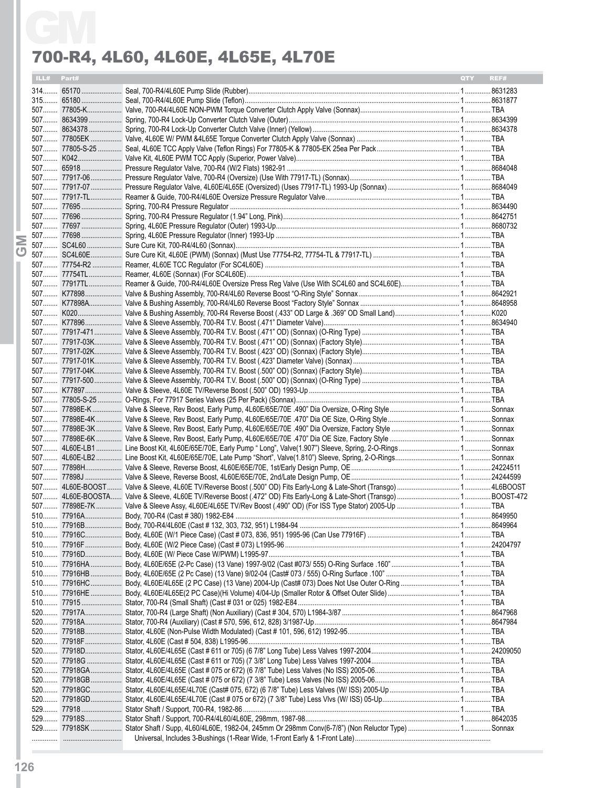| ILL# Part# |  | 700-R4, 4L60, 4L60E, 4L65E, 4L70E | <b>OTY</b> | REF# |
|------------|--|-----------------------------------|------------|------|
|            |  |                                   |            |      |
|            |  |                                   |            |      |
|            |  |                                   |            |      |
|            |  |                                   |            |      |
|            |  |                                   |            |      |
|            |  |                                   |            |      |
|            |  |                                   |            |      |
|            |  |                                   |            |      |
|            |  |                                   |            |      |
|            |  |                                   |            |      |
|            |  |                                   |            |      |
|            |  |                                   |            |      |
|            |  |                                   |            |      |
|            |  |                                   |            |      |
|            |  |                                   |            |      |
|            |  |                                   |            |      |
|            |  |                                   |            |      |
|            |  |                                   |            |      |
|            |  |                                   |            |      |
|            |  |                                   |            |      |
|            |  |                                   |            |      |
|            |  |                                   |            |      |
|            |  |                                   |            |      |
|            |  |                                   |            |      |
|            |  |                                   |            |      |
|            |  |                                   |            |      |
|            |  |                                   |            |      |
|            |  |                                   |            |      |
|            |  |                                   |            |      |
|            |  |                                   |            |      |
|            |  |                                   |            |      |
|            |  |                                   |            |      |
|            |  |                                   |            |      |
|            |  |                                   |            |      |
|            |  |                                   |            |      |
|            |  |                                   |            |      |
|            |  |                                   |            |      |
|            |  |                                   |            |      |
|            |  |                                   |            |      |
|            |  |                                   |            |      |
|            |  |                                   |            |      |
|            |  |                                   |            |      |
|            |  |                                   |            |      |
|            |  |                                   |            |      |
|            |  |                                   |            |      |
|            |  |                                   |            |      |
|            |  |                                   |            |      |
|            |  |                                   |            |      |
|            |  |                                   |            |      |
|            |  |                                   |            |      |
|            |  |                                   |            |      |
|            |  |                                   |            |      |
|            |  |                                   |            |      |
|            |  |                                   |            |      |
|            |  |                                   |            |      |
|            |  |                                   |            |      |
|            |  |                                   |            |      |
|            |  |                                   |            |      |
|            |  |                                   |            |      |
|            |  |                                   |            |      |
|            |  |                                   |            |      |
|            |  |                                   |            |      |
|            |  |                                   |            |      |
|            |  |                                   |            |      |
|            |  |                                   |            |      |
|            |  |                                   |            |      |
|            |  |                                   |            |      |
|            |  |                                   |            |      |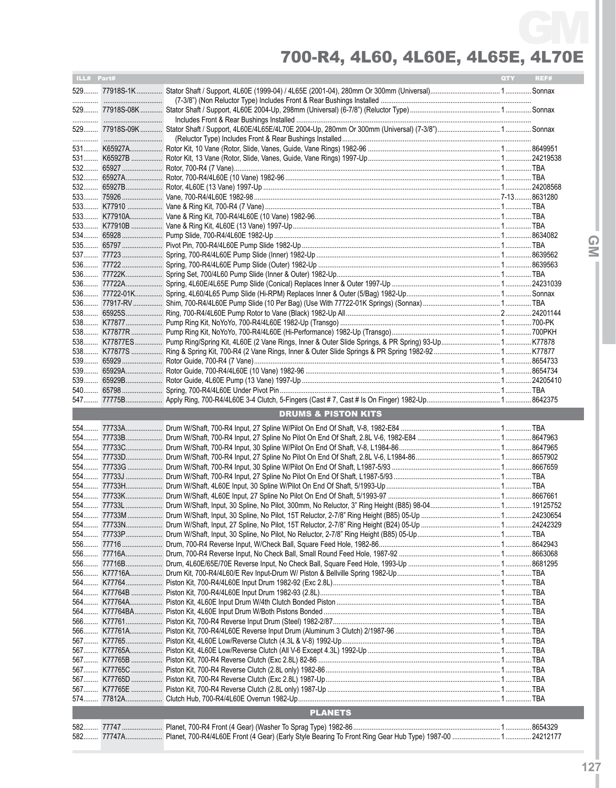| ILL# Part# |            |                                | QTY <b>C</b> | REF# |
|------------|------------|--------------------------------|--------------|------|
|            |            |                                |              |      |
|            |            |                                |              |      |
|            |            |                                |              |      |
|            |            |                                |              |      |
|            |            |                                |              |      |
|            |            |                                |              |      |
|            |            |                                |              |      |
|            |            |                                |              |      |
|            |            |                                |              |      |
|            |            |                                |              |      |
|            |            |                                |              |      |
|            |            |                                |              |      |
|            |            |                                |              |      |
|            |            |                                |              |      |
|            |            |                                |              |      |
|            |            |                                |              |      |
|            |            |                                |              |      |
|            |            |                                |              |      |
|            |            |                                |              |      |
|            |            |                                |              |      |
|            |            |                                |              |      |
|            |            |                                |              |      |
|            |            |                                |              |      |
|            |            |                                |              |      |
|            |            |                                |              |      |
|            |            |                                |              |      |
|            |            |                                |              |      |
|            |            |                                |              |      |
|            |            |                                |              |      |
|            |            | <b>DRUMS &amp; PISTON KITS</b> |              |      |
|            |            |                                |              |      |
|            |            |                                |              |      |
|            |            |                                |              |      |
|            |            |                                |              |      |
|            |            |                                |              |      |
|            |            |                                |              |      |
|            |            |                                |              |      |
|            |            |                                |              |      |
|            |            |                                |              |      |
|            |            |                                |              |      |
|            |            |                                |              |      |
|            | 556  77716 |                                |              |      |
|            |            |                                |              |      |
|            | 556 77716B |                                |              |      |
|            |            |                                |              |      |
|            |            |                                |              |      |
|            |            |                                |              |      |
|            |            |                                |              |      |
|            |            |                                |              |      |
|            |            |                                |              |      |
|            |            |                                |              |      |
|            |            |                                |              |      |
|            |            |                                |              |      |
|            |            |                                |              |      |
|            |            |                                |              |      |
|            |            |                                |              |      |
|            |            |                                |              |      |
|            |            | <b>PLANETS</b>                 |              |      |
|            |            |                                |              |      |
|            |            |                                |              |      |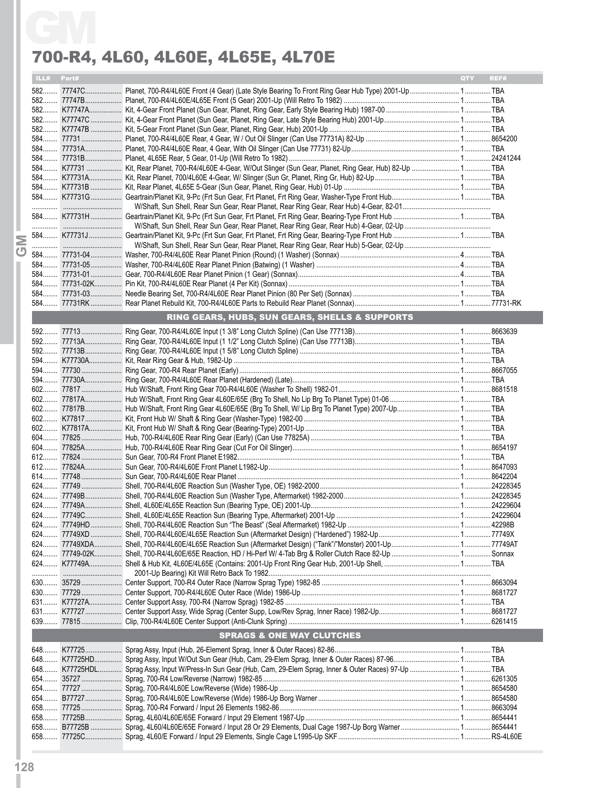|            | 700-R4, 4L60, 4L60E, 4L65E, 4L70E              |                    |
|------------|------------------------------------------------|--------------------|
| ILL# Part# |                                                | REF#<br><b>OTY</b> |
|            |                                                |                    |
|            |                                                |                    |
|            |                                                |                    |
|            |                                                |                    |
|            |                                                |                    |
|            |                                                |                    |
|            |                                                |                    |
|            |                                                |                    |
|            |                                                |                    |
|            |                                                |                    |
|            |                                                |                    |
|            |                                                |                    |
|            |                                                |                    |
|            |                                                |                    |
|            |                                                |                    |
|            |                                                |                    |
|            |                                                |                    |
|            |                                                |                    |
|            |                                                |                    |
|            |                                                |                    |
|            |                                                |                    |
|            |                                                |                    |
|            | RING GEARS, HUBS, SUN GEARS, SHELLS & SUPPORTS |                    |
|            |                                                |                    |
|            |                                                |                    |
|            |                                                |                    |
|            |                                                |                    |
|            |                                                |                    |
|            |                                                |                    |
|            |                                                |                    |
|            |                                                |                    |
|            |                                                |                    |
|            |                                                |                    |
|            |                                                |                    |
|            |                                                |                    |
|            |                                                |                    |
|            |                                                |                    |
|            |                                                |                    |
|            |                                                |                    |
|            |                                                |                    |
|            |                                                |                    |
|            |                                                |                    |
|            |                                                |                    |
|            |                                                |                    |
|            |                                                |                    |
|            |                                                |                    |
|            |                                                |                    |
|            |                                                |                    |
|            |                                                |                    |
|            |                                                |                    |
|            |                                                |                    |
|            |                                                |                    |
|            | <b>SPRAGS &amp; ONE WAY CLUTCHES</b>           |                    |
|            |                                                |                    |
|            |                                                |                    |
|            |                                                |                    |
|            |                                                |                    |
|            |                                                |                    |
|            |                                                |                    |
|            |                                                |                    |
|            |                                                |                    |
|            |                                                |                    |
|            |                                                |                    |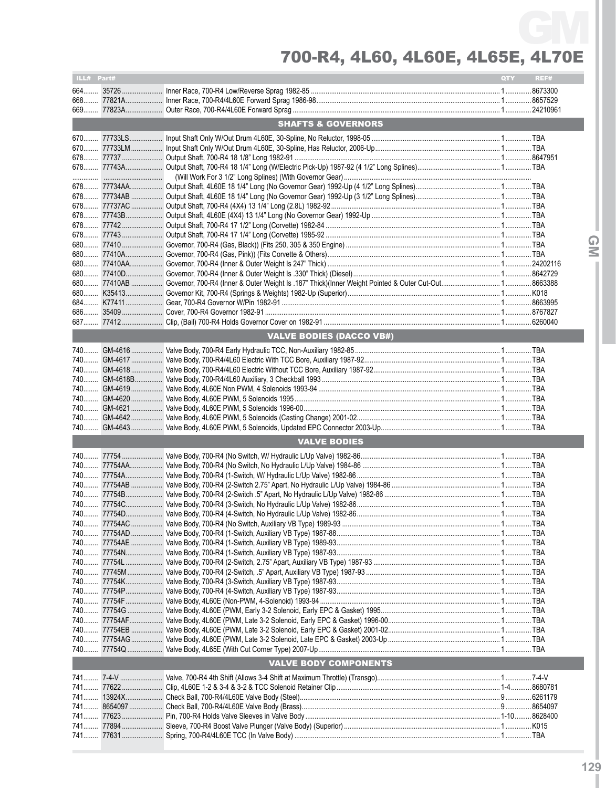| ILL# Part# |                                 | QTY | REF# |
|------------|---------------------------------|-----|------|
|            |                                 |     |      |
|            |                                 |     |      |
|            |                                 |     |      |
|            | <b>SHAFTS &amp; GOVERNORS</b>   |     |      |
|            |                                 |     |      |
|            |                                 |     |      |
|            |                                 |     |      |
|            |                                 |     |      |
|            |                                 |     |      |
|            |                                 |     |      |
|            |                                 |     |      |
|            |                                 |     |      |
|            |                                 |     |      |
|            |                                 |     |      |
|            |                                 |     |      |
|            |                                 |     |      |
|            |                                 |     |      |
|            |                                 |     |      |
|            |                                 |     |      |
|            |                                 |     |      |
|            |                                 |     |      |
|            |                                 |     |      |
|            | <b>VALVE BODIES (DACCO VB#)</b> |     |      |
|            |                                 |     |      |
|            |                                 |     |      |
|            |                                 |     |      |
|            |                                 |     |      |
|            |                                 |     |      |
|            |                                 |     |      |
|            |                                 |     |      |
|            |                                 |     |      |
|            | <b>VALVE BODIES</b>             |     |      |
|            |                                 |     |      |
|            |                                 |     |      |
|            |                                 |     |      |
|            |                                 |     |      |
|            |                                 |     |      |
|            |                                 |     |      |
|            |                                 |     |      |
|            |                                 |     |      |
|            |                                 |     |      |
|            |                                 |     |      |
|            |                                 |     |      |
|            |                                 |     |      |
|            |                                 |     |      |
|            |                                 |     |      |
|            |                                 |     |      |
|            |                                 |     |      |
|            |                                 |     |      |
|            |                                 |     |      |
|            |                                 |     |      |
|            | <b>VALVE BODY COMPONENTS</b>    |     |      |
|            |                                 |     |      |
|            |                                 |     |      |
|            |                                 |     |      |
|            |                                 |     |      |
|            |                                 |     |      |
|            |                                 |     |      |
|            |                                 |     |      |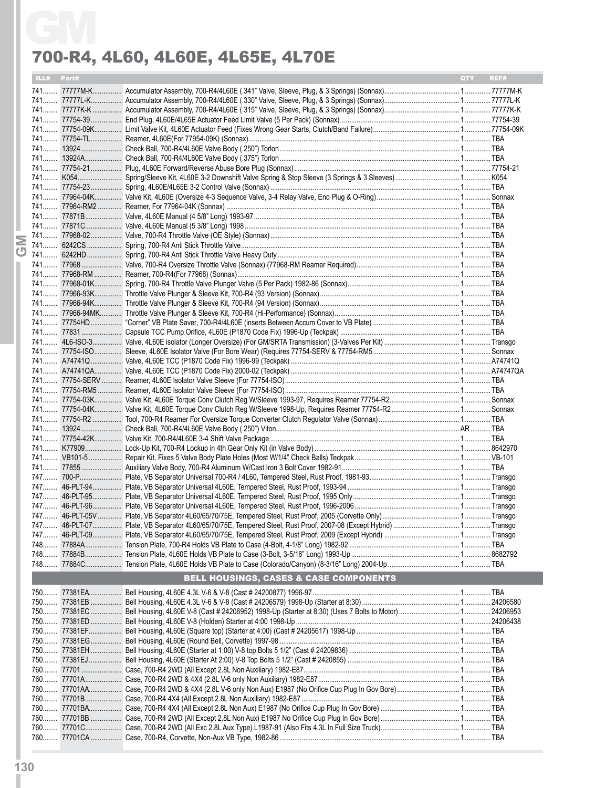| ILL# Part# |                                                   | <b>OTY</b> | REF# |
|------------|---------------------------------------------------|------------|------|
|            |                                                   |            |      |
|            |                                                   |            |      |
|            |                                                   |            |      |
|            |                                                   |            |      |
|            |                                                   |            |      |
|            |                                                   |            |      |
|            |                                                   |            |      |
|            |                                                   |            |      |
|            |                                                   |            |      |
|            |                                                   |            |      |
|            |                                                   |            |      |
|            |                                                   |            |      |
|            |                                                   |            |      |
|            |                                                   |            |      |
|            |                                                   |            |      |
|            |                                                   |            |      |
|            |                                                   |            |      |
|            |                                                   |            |      |
|            |                                                   |            |      |
|            |                                                   |            |      |
|            |                                                   |            |      |
|            |                                                   |            |      |
|            |                                                   |            |      |
|            |                                                   |            |      |
|            |                                                   |            |      |
|            |                                                   |            |      |
|            |                                                   |            |      |
|            |                                                   |            |      |
|            |                                                   |            |      |
|            |                                                   |            |      |
|            |                                                   |            |      |
|            |                                                   |            |      |
|            |                                                   |            |      |
|            |                                                   |            |      |
|            |                                                   |            |      |
|            |                                                   |            |      |
|            |                                                   |            |      |
|            |                                                   |            |      |
|            |                                                   |            |      |
|            |                                                   |            |      |
|            |                                                   |            |      |
|            |                                                   |            |      |
|            |                                                   |            |      |
|            |                                                   |            |      |
|            |                                                   |            |      |
|            |                                                   |            |      |
|            |                                                   |            |      |
|            |                                                   |            |      |
|            | <b>BELL HOUSINGS, CASES &amp; CASE COMPONENTS</b> |            |      |
|            |                                                   |            |      |
|            |                                                   |            |      |
|            |                                                   |            |      |
|            |                                                   |            |      |
|            |                                                   |            |      |
|            |                                                   |            |      |
|            |                                                   |            |      |
|            |                                                   |            |      |
|            |                                                   |            |      |
|            |                                                   |            |      |
|            |                                                   |            |      |
|            |                                                   |            |      |
|            |                                                   |            |      |
|            |                                                   |            |      |
|            |                                                   |            |      |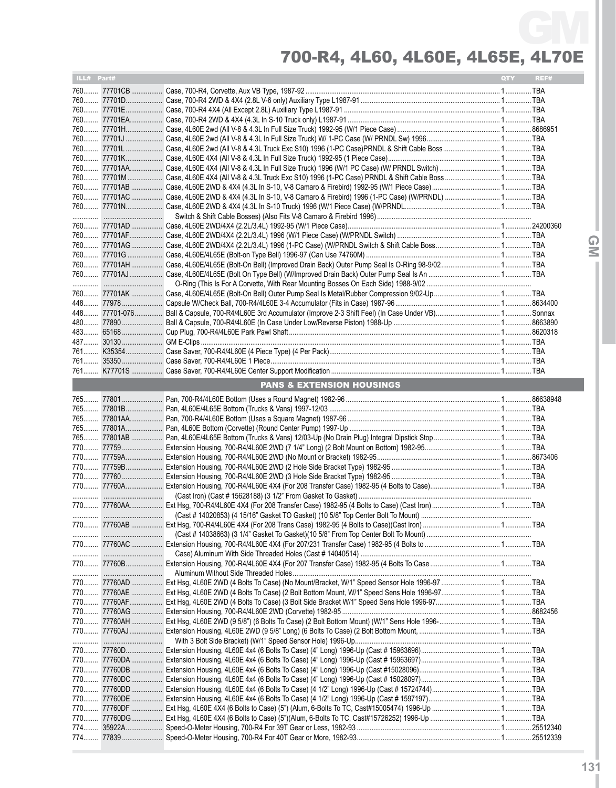| ILL# Part# |                                                                                                                      | QTY | REF# |
|------------|----------------------------------------------------------------------------------------------------------------------|-----|------|
|            |                                                                                                                      |     |      |
|            |                                                                                                                      |     |      |
|            |                                                                                                                      |     |      |
|            |                                                                                                                      |     |      |
|            |                                                                                                                      |     |      |
|            |                                                                                                                      |     |      |
|            |                                                                                                                      |     |      |
|            |                                                                                                                      |     |      |
|            |                                                                                                                      |     |      |
|            |                                                                                                                      |     |      |
|            | 760 77701AC  Case, 4L60E 2WD & 4X4 (4.3L In S-10, V-8 Camaro & Firebird) 1996 (1-PC Case) (W/PRNDL)  TBA             |     |      |
|            |                                                                                                                      |     |      |
|            |                                                                                                                      |     |      |
|            |                                                                                                                      |     |      |
|            |                                                                                                                      |     |      |
|            |                                                                                                                      |     |      |
|            |                                                                                                                      |     |      |
|            | 760 77701AH  Case, 4L60E/4L65E (Bolt-On Bell) (Improved Drain Back) Outer Pump Seal Is O-Ring 98-9/02 TBA            |     |      |
|            |                                                                                                                      |     |      |
|            |                                                                                                                      |     |      |
|            |                                                                                                                      |     |      |
|            |                                                                                                                      |     |      |
|            |                                                                                                                      |     |      |
|            |                                                                                                                      |     |      |
|            |                                                                                                                      |     |      |
|            |                                                                                                                      |     |      |
|            |                                                                                                                      |     |      |
|            |                                                                                                                      |     |      |
|            |                                                                                                                      |     |      |
|            | <b>PANS &amp; EXTENSION HOUSINGS</b>                                                                                 |     |      |
|            |                                                                                                                      |     |      |
|            |                                                                                                                      |     |      |
|            |                                                                                                                      |     |      |
|            |                                                                                                                      |     |      |
|            |                                                                                                                      |     |      |
|            |                                                                                                                      |     |      |
|            |                                                                                                                      |     |      |
|            |                                                                                                                      |     |      |
|            |                                                                                                                      |     |      |
|            |                                                                                                                      |     |      |
|            |                                                                                                                      |     |      |
|            |                                                                                                                      |     |      |
|            |                                                                                                                      |     |      |
|            |                                                                                                                      |     |      |
|            |                                                                                                                      |     |      |
|            |                                                                                                                      |     |      |
|            |                                                                                                                      |     |      |
|            |                                                                                                                      |     |      |
|            | 770 77760AD  Ext Hsg, 4L60E 2WD (4 Bolts To Case) (No Mount/Bracket, W/1" Speed Sensor Hole 1996-97  TBA             |     |      |
|            |                                                                                                                      |     |      |
|            |                                                                                                                      |     |      |
|            | 770 77760AG……………… Extension Housing, 700-R4/4L60E 2WD (Corvette) 1982-95 …………………………………………………………………………………………… 8682456 |     |      |
|            |                                                                                                                      |     |      |
|            |                                                                                                                      |     |      |
|            |                                                                                                                      |     |      |
|            |                                                                                                                      |     |      |
|            |                                                                                                                      |     |      |
|            |                                                                                                                      |     |      |
|            |                                                                                                                      |     |      |
|            |                                                                                                                      |     |      |
|            |                                                                                                                      |     |      |
|            |                                                                                                                      |     |      |
|            |                                                                                                                      |     |      |
|            |                                                                                                                      |     |      |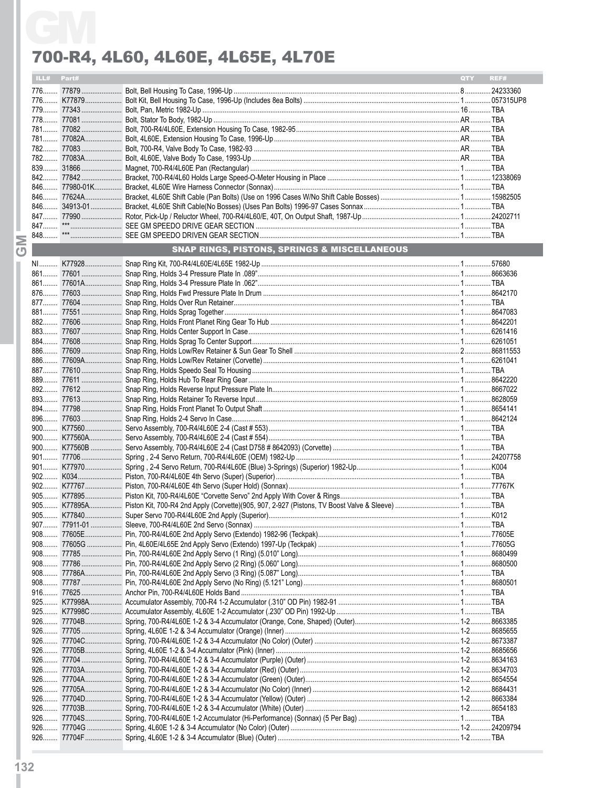|                         | ILL# Part# |           |                                              | QTY | REF# |
|-------------------------|------------|-----------|----------------------------------------------|-----|------|
|                         |            |           |                                              |     |      |
|                         |            |           |                                              |     |      |
|                         |            |           |                                              |     |      |
|                         |            |           |                                              |     |      |
|                         |            |           |                                              |     |      |
|                         |            |           |                                              |     |      |
|                         |            |           |                                              |     |      |
|                         |            |           |                                              |     |      |
|                         |            |           |                                              |     |      |
|                         |            |           |                                              |     |      |
|                         |            |           |                                              |     |      |
|                         |            |           |                                              |     |      |
|                         |            |           |                                              |     |      |
|                         |            |           |                                              |     |      |
|                         |            |           |                                              |     |      |
| Σ                       |            |           |                                              |     |      |
| $\overline{\mathbf{C}}$ |            |           | SNAP RINGS, PISTONS, SPRINGS & MISCELLANEOUS |     |      |
|                         |            |           |                                              |     |      |
|                         |            |           |                                              |     |      |
|                         |            |           |                                              |     |      |
|                         |            |           |                                              |     |      |
|                         |            |           |                                              |     |      |
|                         |            |           |                                              |     |      |
|                         |            |           |                                              |     |      |
|                         |            |           |                                              |     |      |
|                         |            |           |                                              |     |      |
|                         |            |           |                                              |     |      |
|                         |            |           |                                              |     |      |
|                         |            |           |                                              |     |      |
|                         |            |           |                                              |     |      |
|                         |            |           |                                              |     |      |
|                         |            |           |                                              |     |      |
|                         |            |           |                                              |     |      |
|                         |            |           |                                              |     |      |
|                         |            |           |                                              |     |      |
|                         |            |           |                                              |     |      |
|                         |            |           |                                              |     |      |
|                         |            |           |                                              |     |      |
|                         |            |           |                                              |     |      |
|                         |            |           |                                              |     |      |
|                         |            |           |                                              |     |      |
|                         |            |           |                                              |     |      |
|                         |            |           |                                              |     |      |
|                         |            |           |                                              |     |      |
|                         |            | 90877605E |                                              |     |      |
|                         |            |           |                                              |     |      |
|                         |            |           |                                              |     |      |
|                         |            |           |                                              |     |      |
|                         | $908$      |           |                                              |     |      |
|                         |            |           |                                              |     |      |
|                         |            |           |                                              |     |      |
|                         |            |           |                                              |     |      |
|                         |            |           |                                              |     |      |
|                         |            |           |                                              |     |      |
|                         |            |           |                                              |     |      |
|                         |            |           |                                              |     |      |
|                         |            |           |                                              |     |      |
|                         |            |           |                                              |     |      |
|                         | $926$      |           |                                              |     |      |
|                         |            |           |                                              |     |      |
|                         |            |           |                                              |     |      |
|                         |            |           |                                              |     |      |
|                         | $926$      |           |                                              |     |      |
|                         |            |           |                                              |     |      |
|                         |            |           |                                              |     |      |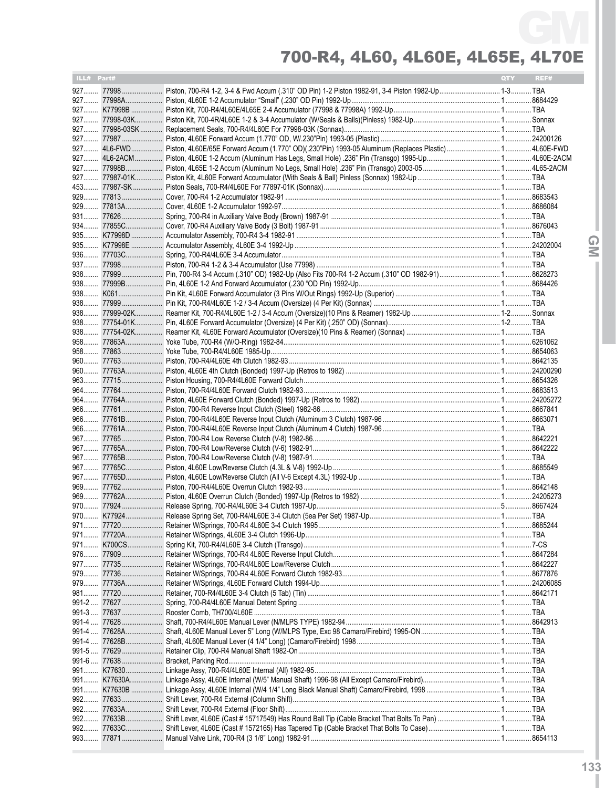| ILL# Part# |  | <b>QTY</b> | REF# |
|------------|--|------------|------|
|            |  |            |      |
|            |  |            |      |
|            |  |            |      |
|            |  |            |      |
|            |  |            |      |
|            |  |            |      |
|            |  |            |      |
|            |  |            |      |
|            |  |            |      |
|            |  |            |      |
|            |  |            |      |
|            |  |            |      |
|            |  |            |      |
|            |  |            |      |
|            |  |            |      |
|            |  |            |      |
|            |  |            |      |
|            |  |            |      |
|            |  |            |      |
|            |  |            |      |
|            |  |            |      |
|            |  |            |      |
|            |  |            |      |
|            |  |            |      |
|            |  |            |      |
|            |  |            |      |
|            |  |            |      |
|            |  |            |      |
|            |  |            |      |
|            |  |            |      |
|            |  |            |      |
|            |  |            |      |
|            |  |            |      |
|            |  |            |      |
|            |  |            |      |
|            |  |            |      |
|            |  |            |      |
|            |  |            |      |
|            |  |            |      |
|            |  |            |      |
|            |  |            |      |
|            |  |            |      |
|            |  |            |      |
|            |  |            |      |
|            |  |            |      |
|            |  |            |      |
|            |  |            |      |
|            |  |            |      |
|            |  |            |      |
|            |  |            |      |
|            |  |            |      |
|            |  |            |      |
|            |  |            |      |
|            |  |            |      |
|            |  |            |      |
|            |  |            |      |
|            |  |            |      |
|            |  |            |      |
|            |  |            |      |
|            |  |            |      |
|            |  |            |      |
|            |  |            |      |
|            |  |            |      |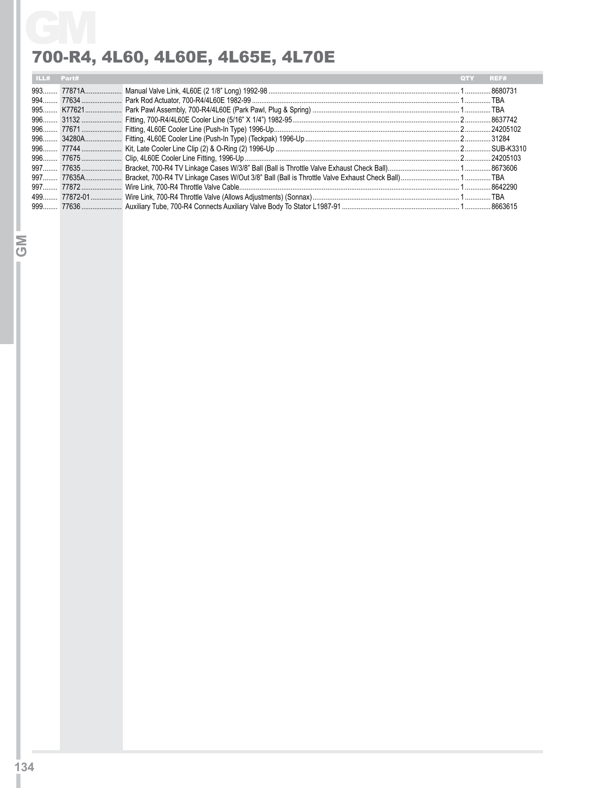|       |                                   | REF#       |
|-------|-----------------------------------|------------|
|       |                                   |            |
| Part# | 700-R4, 4L60, 4L60E, 4L65E, 4L70E | <b>QTY</b> |